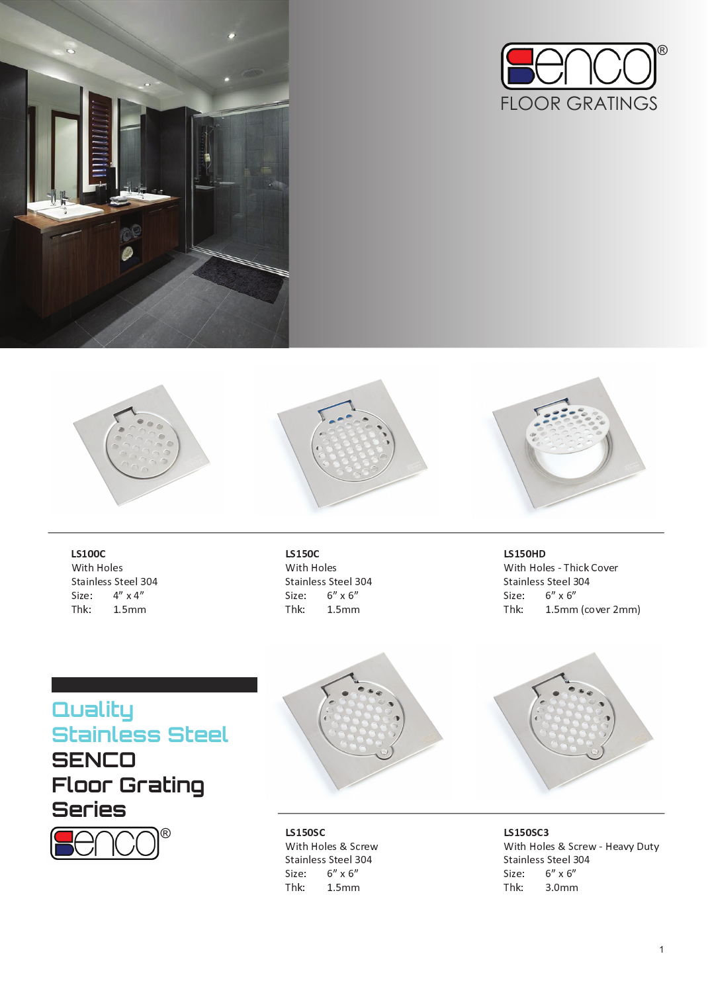









**LS100C** With Holes Stainless Steel 304 Size:  $4'' \times 4''$  $Thk:$  $1.5<sub>mm</sub>$ 

**LS150C** With Holes Stainless Steel 304  $6''$  x  $6''$ Size: Thk:  $1.5<sub>mm</sub>$ 

## **LS150HD**

With Holes - Thick Cover Stainless Steel 304  $6''$  x  $6''$ Size: 1.5mm (cover 2mm)  $Thk:$ 

## Quality **Stainless Steel SENCO Floor Grating Series**





**LS150SC** With Holes & Screw Stainless Steel 304  $6''$  x  $6''$ Size: Thk:  $1.5<sub>mm</sub>$ 



LS150SC3 With Holes & Screw - Heavy Duty Stainless Steel 304  $6''$  x  $6''$ Size: Thk: 3.0mm